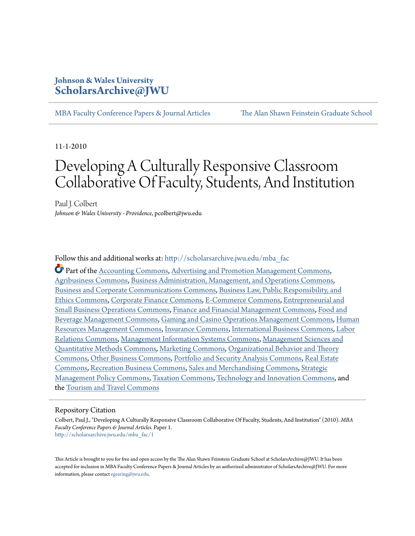## **Johnson & Wales University [ScholarsArchive@JWU](http://scholarsarchive.jwu.edu?utm_source=scholarsarchive.jwu.edu%2Fmba_fac%2F1&utm_medium=PDF&utm_campaign=PDFCoverPages)**

[MBA Faculty Conference Papers & Journal Articles](http://scholarsarchive.jwu.edu/mba_fac?utm_source=scholarsarchive.jwu.edu%2Fmba_fac%2F1&utm_medium=PDF&utm_campaign=PDFCoverPages) [The Alan Shawn Feinstein Graduate School](http://scholarsarchive.jwu.edu/grad_school?utm_source=scholarsarchive.jwu.edu%2Fmba_fac%2F1&utm_medium=PDF&utm_campaign=PDFCoverPages)

11-1-2010

## Developing A Culturally Responsive Classroom Collaborative Of Faculty, Students, And Institution

Paul J. Colbert *Johnson & Wales University - Providence*, pcolbert@jwu.edu

Follow this and additional works at: [http://scholarsarchive.jwu.edu/mba\\_fac](http://scholarsarchive.jwu.edu/mba_fac?utm_source=scholarsarchive.jwu.edu%2Fmba_fac%2F1&utm_medium=PDF&utm_campaign=PDFCoverPages)

Part of the [Accounting Commons](http://network.bepress.com/hgg/discipline/625?utm_source=scholarsarchive.jwu.edu%2Fmba_fac%2F1&utm_medium=PDF&utm_campaign=PDFCoverPages), [Advertising and Promotion Management Commons](http://network.bepress.com/hgg/discipline/626?utm_source=scholarsarchive.jwu.edu%2Fmba_fac%2F1&utm_medium=PDF&utm_campaign=PDFCoverPages), [Agribusiness Commons,](http://network.bepress.com/hgg/discipline/1051?utm_source=scholarsarchive.jwu.edu%2Fmba_fac%2F1&utm_medium=PDF&utm_campaign=PDFCoverPages) [Business Administration, Management, and Operations Commons,](http://network.bepress.com/hgg/discipline/623?utm_source=scholarsarchive.jwu.edu%2Fmba_fac%2F1&utm_medium=PDF&utm_campaign=PDFCoverPages) [Business and Corporate Communications Commons,](http://network.bepress.com/hgg/discipline/627?utm_source=scholarsarchive.jwu.edu%2Fmba_fac%2F1&utm_medium=PDF&utm_campaign=PDFCoverPages) [Business Law, Public Responsibility, and](http://network.bepress.com/hgg/discipline/628?utm_source=scholarsarchive.jwu.edu%2Fmba_fac%2F1&utm_medium=PDF&utm_campaign=PDFCoverPages) [Ethics Commons,](http://network.bepress.com/hgg/discipline/628?utm_source=scholarsarchive.jwu.edu%2Fmba_fac%2F1&utm_medium=PDF&utm_campaign=PDFCoverPages) [Corporate Finance Commons](http://network.bepress.com/hgg/discipline/629?utm_source=scholarsarchive.jwu.edu%2Fmba_fac%2F1&utm_medium=PDF&utm_campaign=PDFCoverPages), [E-Commerce Commons,](http://network.bepress.com/hgg/discipline/624?utm_source=scholarsarchive.jwu.edu%2Fmba_fac%2F1&utm_medium=PDF&utm_campaign=PDFCoverPages) [Entrepreneurial and](http://network.bepress.com/hgg/discipline/630?utm_source=scholarsarchive.jwu.edu%2Fmba_fac%2F1&utm_medium=PDF&utm_campaign=PDFCoverPages) [Small Business Operations Commons,](http://network.bepress.com/hgg/discipline/630?utm_source=scholarsarchive.jwu.edu%2Fmba_fac%2F1&utm_medium=PDF&utm_campaign=PDFCoverPages) [Finance and Financial Management Commons,](http://network.bepress.com/hgg/discipline/631?utm_source=scholarsarchive.jwu.edu%2Fmba_fac%2F1&utm_medium=PDF&utm_campaign=PDFCoverPages) [Food and](http://network.bepress.com/hgg/discipline/1089?utm_source=scholarsarchive.jwu.edu%2Fmba_fac%2F1&utm_medium=PDF&utm_campaign=PDFCoverPages) [Beverage Management Commons](http://network.bepress.com/hgg/discipline/1089?utm_source=scholarsarchive.jwu.edu%2Fmba_fac%2F1&utm_medium=PDF&utm_campaign=PDFCoverPages), [Gaming and Casino Operations Management Commons,](http://network.bepress.com/hgg/discipline/1088?utm_source=scholarsarchive.jwu.edu%2Fmba_fac%2F1&utm_medium=PDF&utm_campaign=PDFCoverPages) [Human](http://network.bepress.com/hgg/discipline/633?utm_source=scholarsarchive.jwu.edu%2Fmba_fac%2F1&utm_medium=PDF&utm_campaign=PDFCoverPages) [Resources Management Commons,](http://network.bepress.com/hgg/discipline/633?utm_source=scholarsarchive.jwu.edu%2Fmba_fac%2F1&utm_medium=PDF&utm_campaign=PDFCoverPages) [Insurance Commons](http://network.bepress.com/hgg/discipline/645?utm_source=scholarsarchive.jwu.edu%2Fmba_fac%2F1&utm_medium=PDF&utm_campaign=PDFCoverPages), [International Business Commons,](http://network.bepress.com/hgg/discipline/634?utm_source=scholarsarchive.jwu.edu%2Fmba_fac%2F1&utm_medium=PDF&utm_campaign=PDFCoverPages) [Labor](http://network.bepress.com/hgg/discipline/635?utm_source=scholarsarchive.jwu.edu%2Fmba_fac%2F1&utm_medium=PDF&utm_campaign=PDFCoverPages) [Relations Commons,](http://network.bepress.com/hgg/discipline/635?utm_source=scholarsarchive.jwu.edu%2Fmba_fac%2F1&utm_medium=PDF&utm_campaign=PDFCoverPages) [Management Information Systems Commons,](http://network.bepress.com/hgg/discipline/636?utm_source=scholarsarchive.jwu.edu%2Fmba_fac%2F1&utm_medium=PDF&utm_campaign=PDFCoverPages) [Management Sciences and](http://network.bepress.com/hgg/discipline/637?utm_source=scholarsarchive.jwu.edu%2Fmba_fac%2F1&utm_medium=PDF&utm_campaign=PDFCoverPages) [Quantitative Methods Commons,](http://network.bepress.com/hgg/discipline/637?utm_source=scholarsarchive.jwu.edu%2Fmba_fac%2F1&utm_medium=PDF&utm_campaign=PDFCoverPages) [Marketing Commons](http://network.bepress.com/hgg/discipline/638?utm_source=scholarsarchive.jwu.edu%2Fmba_fac%2F1&utm_medium=PDF&utm_campaign=PDFCoverPages), [Organizational Behavior and Theory](http://network.bepress.com/hgg/discipline/639?utm_source=scholarsarchive.jwu.edu%2Fmba_fac%2F1&utm_medium=PDF&utm_campaign=PDFCoverPages) [Commons,](http://network.bepress.com/hgg/discipline/639?utm_source=scholarsarchive.jwu.edu%2Fmba_fac%2F1&utm_medium=PDF&utm_campaign=PDFCoverPages) [Other Business Commons](http://network.bepress.com/hgg/discipline/647?utm_source=scholarsarchive.jwu.edu%2Fmba_fac%2F1&utm_medium=PDF&utm_campaign=PDFCoverPages), [Portfolio and Security Analysis Commons](http://network.bepress.com/hgg/discipline/640?utm_source=scholarsarchive.jwu.edu%2Fmba_fac%2F1&utm_medium=PDF&utm_campaign=PDFCoverPages), [Real Estate](http://network.bepress.com/hgg/discipline/641?utm_source=scholarsarchive.jwu.edu%2Fmba_fac%2F1&utm_medium=PDF&utm_campaign=PDFCoverPages) [Commons,](http://network.bepress.com/hgg/discipline/641?utm_source=scholarsarchive.jwu.edu%2Fmba_fac%2F1&utm_medium=PDF&utm_campaign=PDFCoverPages) [Recreation Business Commons,](http://network.bepress.com/hgg/discipline/1083?utm_source=scholarsarchive.jwu.edu%2Fmba_fac%2F1&utm_medium=PDF&utm_campaign=PDFCoverPages) [Sales and Merchandising Commons,](http://network.bepress.com/hgg/discipline/646?utm_source=scholarsarchive.jwu.edu%2Fmba_fac%2F1&utm_medium=PDF&utm_campaign=PDFCoverPages) [Strategic](http://network.bepress.com/hgg/discipline/642?utm_source=scholarsarchive.jwu.edu%2Fmba_fac%2F1&utm_medium=PDF&utm_campaign=PDFCoverPages) [Management Policy Commons](http://network.bepress.com/hgg/discipline/642?utm_source=scholarsarchive.jwu.edu%2Fmba_fac%2F1&utm_medium=PDF&utm_campaign=PDFCoverPages), [Taxation Commons,](http://network.bepress.com/hgg/discipline/643?utm_source=scholarsarchive.jwu.edu%2Fmba_fac%2F1&utm_medium=PDF&utm_campaign=PDFCoverPages) [Technology and Innovation Commons,](http://network.bepress.com/hgg/discipline/644?utm_source=scholarsarchive.jwu.edu%2Fmba_fac%2F1&utm_medium=PDF&utm_campaign=PDFCoverPages) and the [Tourism and Travel Commons](http://network.bepress.com/hgg/discipline/1082?utm_source=scholarsarchive.jwu.edu%2Fmba_fac%2F1&utm_medium=PDF&utm_campaign=PDFCoverPages)

#### Repository Citation

Colbert, Paul J., "Developing A Culturally Responsive Classroom Collaborative Of Faculty, Students, And Institution" (2010). *MBA Faculty Conference Papers & Journal Articles.* Paper 1. [http://scholarsarchive.jwu.edu/mba\\_fac/1](http://scholarsarchive.jwu.edu/mba_fac/1?utm_source=scholarsarchive.jwu.edu%2Fmba_fac%2F1&utm_medium=PDF&utm_campaign=PDFCoverPages)

This Article is brought to you for free and open access by the The Alan Shawn Feinstein Graduate School at ScholarsArchive@JWU. It has been accepted for inclusion in MBA Faculty Conference Papers & Journal Articles by an authorized administrator of ScholarsArchive@JWU. For more information, please contact [egearing@jwu.edu](mailto:egearing@jwu.edu).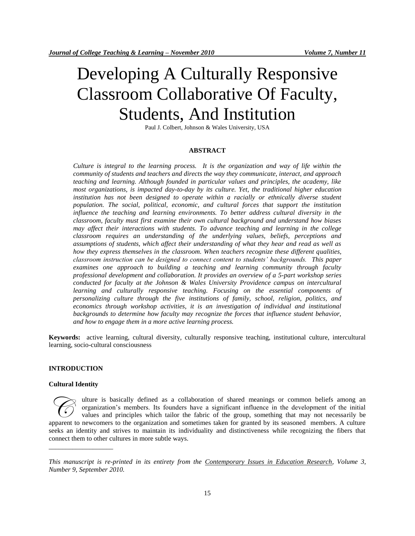# Developing A Culturally Responsive Classroom Collaborative Of Faculty, Students, And Institution

Paul J. Colbert, Johnson & Wales University, USA

#### **ABSTRACT**

*Culture is integral to the learning process. It is the organization and way of life within the community of students and teachers and directs the way they communicate, interact, and approach teaching and learning. Although founded in particular values and principles, the academy, like most organizations, is impacted day-to-day by its culture. Yet, the traditional higher education*  institution has not been designed to operate within a racially or ethnically diverse student *population. The social, political, economic, and cultural forces that support the institution influence the teaching and learning environments. To better address cultural diversity in the classroom, faculty must first examine their own cultural background and understand how biases may affect their interactions with students. To advance teaching and learning in the college classroom requires an understanding of the underlying values, beliefs, perceptions and assumptions of students, which affect their understanding of what they hear and read as well as how they express themselves in the classroom. When teachers recognize these different qualities, classroom instruction can be designed to connect content to students' backgrounds. This paper examines one approach to building a teaching and learning community through faculty professional development and collaboration. It provides an overview of a 5-part workshop series conducted for faculty at the Johnson & Wales University Providence campus on intercultural*  learning and culturally responsive teaching. Focusing on the essential components of *personalizing culture through the five institutions of family, school, religion, politics, and economics through workshop activities, it is an investigation of individual and institutional backgrounds to determine how faculty may recognize the forces that influence student behavior, and how to engage them in a more active learning process.*

**Keywords:** active learning, cultural diversity, culturally responsive teaching, institutional culture, intercultural learning, socio-cultural consciousness

#### **INTRODUCTION**

#### **Cultural Identity**

\_\_\_\_\_\_\_\_\_\_\_\_\_\_\_\_\_\_\_

ulture is basically defined as a collaboration of shared meanings or common beliefs among an organization's members. Its founders have a significant influence in the development of the initial values and principles which tailor the fabric of the group, something that may not necessarily be apparent to newcomers to the organization and sometimes taken for granted by its seasoned members. A culture apparent to newcomers to the organization and sometimes taken for granted by its seasoned members. A culture seeks an identity and strives to maintain its individuality and distinctiveness while recognizing the fibers that connect them to other cultures in more subtle ways.

*This manuscript is re-printed in its entirety from the Contemporary Issues in Education Research, Volume 3, Number 9, September 2010.*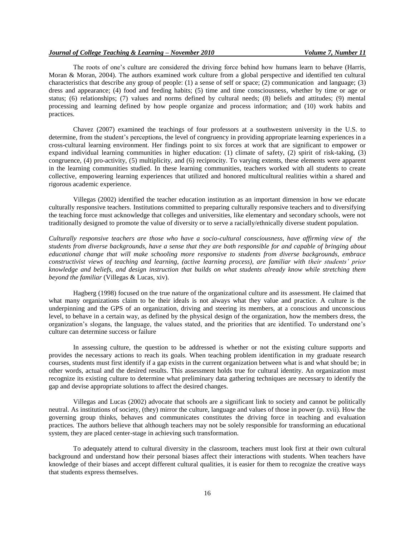The roots of one's culture are considered the driving force behind how humans learn to behave (Harris, Moran & Moran, 2004). The authors examined work culture from a global perspective and identified ten cultural characteristics that describe any group of people: (1) a sense of self or space; (2) communication and language; (3) dress and appearance; (4) food and feeding habits; (5) time and time consciousness, whether by time or age or status; (6) relationships; (7) values and norms defined by cultural needs; (8) beliefs and attitudes; (9) mental processing and learning defined by how people organize and process information; and (10) work habits and practices.

Chavez (2007) examined the teachings of four professors at a southwestern university in the U.S. to determine, from the student's perceptions, the level of congruency in providing appropriate learning experiences in a cross-cultural learning environment. Her findings point to six forces at work that are significant to empower or expand individual learning communities in higher education: (1) climate of safety, (2) spirit of risk-taking, (3) congruence, (4) pro-activity, (5) multiplicity, and (6) reciprocity. To varying extents, these elements were apparent in the learning communities studied. In these learning communities, teachers worked with all students to create collective, empowering learning experiences that utilized and honored multicultural realities within a shared and rigorous academic experience.

Villegas (2002) identified the teacher education institution as an important dimension in how we educate culturally responsive teachers. Institutions committed to preparing culturally responsive teachers and to diversifying the teaching force must acknowledge that colleges and universities, like elementary and secondary schools, were not traditionally designed to promote the value of diversity or to serve a racially/ethnically diverse student population.

*Culturally responsive teachers are those who have a socio-cultural consciousness, have affirming view of the students from diverse backgrounds, have a sense that they are both responsible for and capable of bringing about educational change that will make schooling more responsive to students from diverse backgrounds, embrace constructivist views of teaching and learning, (active learning process), are familiar with their students' prior knowledge and beliefs, and design instruction that builds on what students already know while stretching them beyond the familiar* (Villegas & Lucas, xiv).

Hagberg (1998) focused on the true nature of the organizational culture and its assessment. He claimed that what many organizations claim to be their ideals is not always what they value and practice. A culture is the underpinning and the GPS of an organization, driving and steering its members, at a conscious and unconscious level, to behave in a certain way, as defined by the physical design of the organization, how the members dress, the organization's slogans, the language, the values stated, and the priorities that are identified. To understand one's culture can determine success or failure

In assessing culture, the question to be addressed is whether or not the existing culture supports and provides the necessary actions to reach its goals. When teaching problem identification in my graduate research courses, students must first identify if a gap exists in the current organization between what is and what should be; in other words, actual and the desired results. This assessment holds true for cultural identity. An organization must recognize its existing culture to determine what preliminary data gathering techniques are necessary to identify the gap and devise appropriate solutions to affect the desired changes.

Villegas and Lucas (2002) advocate that schools are a significant link to society and cannot be politically neutral. As institutions of society, (they) mirror the culture, language and values of those in power (p. xvii). How the governing group thinks, behaves and communicates constitutes the driving force in teaching and evaluation practices*.* The authors believe that although teachers may not be solely responsible for transforming an educational system, they are placed center-stage in achieving such transformation.

To adequately attend to cultural diversity in the classroom, teachers must look first at their own cultural background and understand how their personal biases affect their interactions with students. When teachers have knowledge of their biases and accept different cultural qualities, it is easier for them to recognize the creative ways that students express themselves.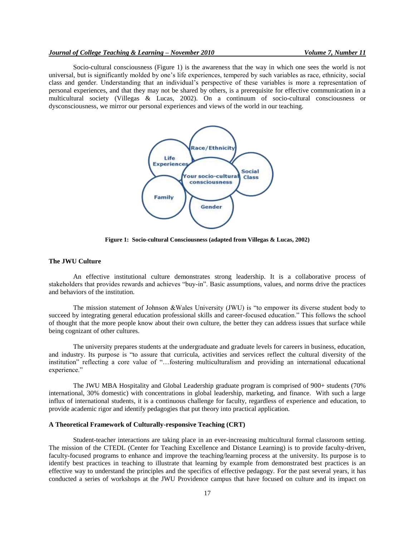#### *Journal of College Teaching & Learning – November 2010 Volume 7, Number 11*

Socio-cultural consciousness (Figure 1) is the awareness that the way in which one sees the world is not universal, but is significantly molded by one's life experiences, tempered by such variables as race, ethnicity, social class and gender. Understanding that an individual's perspective of these variables is more a representation of personal experiences, and that they may not be shared by others, is a prerequisite for effective communication in a multicultural society (Villegas & Lucas, 2002). On a continuum of socio-cultural consciousness or dysconsciousness, we mirror our personal experiences and views of the world in our teaching.



**Figure 1: Socio-cultural Consciousness (adapted from Villegas & Lucas, 2002)**

#### **The JWU Culture**

An effective institutional culture demonstrates strong leadership. It is a collaborative process of stakeholders that provides rewards and achieves "buy-in". Basic assumptions, values, and norms drive the practices and behaviors of the institution.

The mission statement of Johnson &Wales University (JWU) is "to empower its diverse student body to succeed by integrating general education professional skills and career-focused education." This follows the school of thought that the more people know about their own culture, the better they can address issues that surface while being cognizant of other cultures.

The university prepares students at the undergraduate and graduate levels for careers in business, education, and industry. Its purpose is "to assure that curricula, activities and services reflect the cultural diversity of the institution" reflecting a core value of "…fostering multiculturalism and providing an international educational experience."

The JWU MBA Hospitality and Global Leadership graduate program is comprised of 900+ students (70% international, 30% domestic) with concentrations in global leadership, marketing, and finance. With such a large influx of international students, it is a continuous challenge for faculty, regardless of experience and education, to provide academic rigor and identify pedagogies that put theory into practical application.

#### **A Theoretical Framework of Culturally-responsive Teaching (CRT)**

Student-teacher interactions are taking place in an ever-increasing multicultural formal classroom setting. The mission of the CTEDL (Center for Teaching Excellence and Distance Learning) is to provide faculty-driven, faculty-focused programs to enhance and improve the teaching/learning process at the university. Its purpose is to identify best practices in teaching to illustrate that learning by example from demonstrated best practices is an effective way to understand the principles and the specifics of effective pedagogy. For the past several years, it has conducted a series of workshops at the JWU Providence campus that have focused on culture and its impact on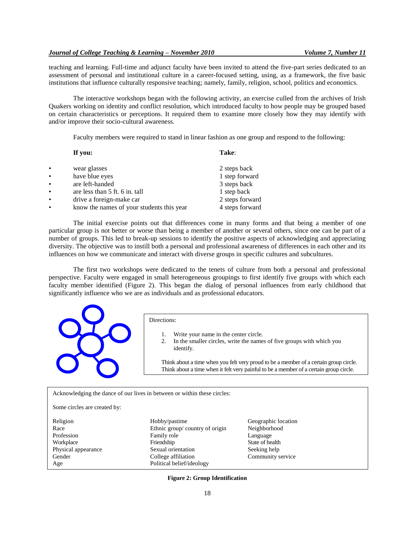teaching and learning. Full-time and adjunct faculty have been invited to attend the five-part series dedicated to an assessment of personal and institutional culture in a career-focused setting, using, as a framework, the five basic institutions that influence culturally responsive teaching; namely, family, religion, school, politics and economics.

The interactive workshops began with the following activity, an exercise culled from the archives of Irish Quakers working on identity and conflict resolution, which introduced faculty to how people may be grouped based on certain characteristics or perceptions. It required them to examine more closely how they may identify with and/or improve their socio-cultural awareness.

Faculty members were required to stand in linear fashion as one group and respond to the following:

|           | If you:                                   | Take:           |
|-----------|-------------------------------------------|-----------------|
| ٠         | wear glasses                              | 2 steps back    |
| ٠         | have blue eyes                            | 1 step forward  |
| $\bullet$ | are left-handed                           | 3 steps back    |
| $\bullet$ | are less than 5 ft. 6 in. tall            | 1 step back     |
| $\bullet$ | drive a foreign-make car                  | 2 steps forward |
| ٠         | know the names of your students this year | 4 steps forward |

The initial exercise points out that differences come in many forms and that being a member of one particular group is not better or worse than being a member of another or several others, since one can be part of a number of groups. This led to break-up sessions to identify the positive aspects of acknowledging and appreciating diversity. The objective was to instill both a personal and professional awareness of differences in each other and its influences on how we communicate and interact with diverse groups in specific cultures and subcultures.

The first two workshops were dedicated to the tenets of culture from both a personal and professional perspective. Faculty were engaged in small heterogeneous groupings to first identify five groups with which each faculty member identified (Figure 2). This began the dialog of personal influences from early childhood that significantly influence who we are as individuals and as professional educators.



#### Directions:

- 1. Write your name in the center circle.
- 2. In the smaller circles, write the names of five groups with which you identify.

Think about a time when you felt very proud to be a member of a certain group circle. Think about a time when it felt very painful to be a member of a certain group circle.

Acknowledging the dance of our lives in between or within these circles:

Some circles are created by:

Religion **Hobby/pastime** Geographic location Race Ethnic group/ country of origin Neighborhood Profession Family role Early Equation Equation Equation Equation Equation Equation Equation Equation Equation Equation Equation Equation Equation Equation Equation Equation Equation Equation Equation Equation Equation Equa Workplace Friendship State of health Physical appearance Sexual orientation Seeking help Gender College affiliation Community service Age Political belief/ideology

**Figure 2: Group Identification**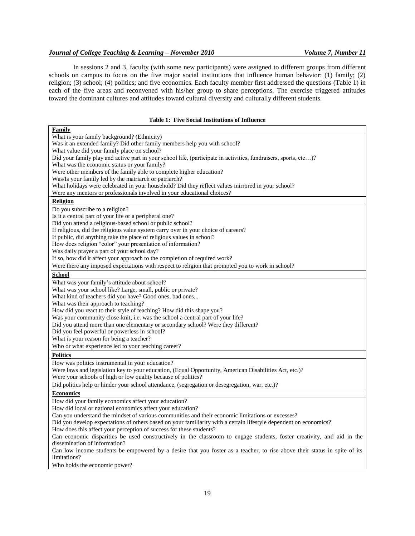#### *Journal of College Teaching & Learning – November 2010 Volume 7, Number 11*

In sessions 2 and 3, faculty (with some new participants) were assigned to different groups from different schools on campus to focus on the five major social institutions that influence human behavior: (1) family; (2) religion; (3) school; (4) politics; and five economics. Each faculty member first addressed the questions (Table 1) in each of the five areas and reconvened with his/her group to share perceptions. The exercise triggered attitudes toward the dominant cultures and attitudes toward cultural diversity and culturally different students.

#### **Table 1: Five Social Institutions of Influence**

| Family                                                                                                                                                                                        |  |  |  |
|-----------------------------------------------------------------------------------------------------------------------------------------------------------------------------------------------|--|--|--|
| What is your family background? (Ethnicity)                                                                                                                                                   |  |  |  |
| Was it an extended family? Did other family members help you with school?                                                                                                                     |  |  |  |
| What value did your family place on school?                                                                                                                                                   |  |  |  |
| Did your family play and active part in your school life, (participate in activities, fundraisers, sports, etc)?                                                                              |  |  |  |
| What was the economic status or your family?                                                                                                                                                  |  |  |  |
| Were other members of the family able to complete higher education?                                                                                                                           |  |  |  |
| Was/Is your family led by the matriarch or patriarch?                                                                                                                                         |  |  |  |
| What holidays were celebrated in your household? Did they reflect values mirrored in your school?                                                                                             |  |  |  |
| Were any mentors or professionals involved in your educational choices?                                                                                                                       |  |  |  |
| <b>Religion</b>                                                                                                                                                                               |  |  |  |
| Do you subscribe to a religion?                                                                                                                                                               |  |  |  |
| Is it a central part of your life or a peripheral one?                                                                                                                                        |  |  |  |
| Did you attend a religious-based school or public school?                                                                                                                                     |  |  |  |
| If religious, did the religious value system carry over in your choice of careers?                                                                                                            |  |  |  |
| If public, did anything take the place of religious values in school?                                                                                                                         |  |  |  |
| How does religion "color" your presentation of information?                                                                                                                                   |  |  |  |
| Was daily prayer a part of your school day?                                                                                                                                                   |  |  |  |
| If so, how did it affect your approach to the completion of required work?                                                                                                                    |  |  |  |
| Were there any imposed expectations with respect to religion that prompted you to work in school?                                                                                             |  |  |  |
| <b>School</b>                                                                                                                                                                                 |  |  |  |
| What was your family's attitude about school?                                                                                                                                                 |  |  |  |
| What was your school like? Large, small, public or private?                                                                                                                                   |  |  |  |
| What kind of teachers did you have? Good ones, bad ones                                                                                                                                       |  |  |  |
| What was their approach to teaching?                                                                                                                                                          |  |  |  |
| How did you react to their style of teaching? How did this shape you?                                                                                                                         |  |  |  |
| Was your community close-knit, i.e. was the school a central part of your life?                                                                                                               |  |  |  |
| Did you attend more than one elementary or secondary school? Were they different?                                                                                                             |  |  |  |
| Did you feel powerful or powerless in school?                                                                                                                                                 |  |  |  |
| What is your reason for being a teacher?                                                                                                                                                      |  |  |  |
| Who or what experience led to your teaching career?                                                                                                                                           |  |  |  |
| <b>Politics</b>                                                                                                                                                                               |  |  |  |
| How was politics instrumental in your education?                                                                                                                                              |  |  |  |
| Were laws and legislation key to your education, (Equal Opportunity, American Disabilities Act, etc.)?                                                                                        |  |  |  |
| Were your schools of high or low quality because of politics?                                                                                                                                 |  |  |  |
| Did politics help or hinder your school attendance, (segregation or desegregation, war, etc.)?                                                                                                |  |  |  |
| <b>Economics</b>                                                                                                                                                                              |  |  |  |
| How did your family economics affect your education?                                                                                                                                          |  |  |  |
| How did local or national economics affect your education?                                                                                                                                    |  |  |  |
| Can you understand the mindset of various communities and their economic limitations or excesses?                                                                                             |  |  |  |
| Did you develop expectations of others based on your familiarity with a certain lifestyle dependent on economics?                                                                             |  |  |  |
|                                                                                                                                                                                               |  |  |  |
| How does this affect your perception of success for these students?<br>Can economic disparities be used constructively in the classroom to engage students, foster creativity, and aid in the |  |  |  |
| dissemination of information?                                                                                                                                                                 |  |  |  |
| Can low income students be empowered by a desire that you foster as a teacher, to rise above their status in spite of its                                                                     |  |  |  |
| limitations?                                                                                                                                                                                  |  |  |  |
| Who holds the economic power?                                                                                                                                                                 |  |  |  |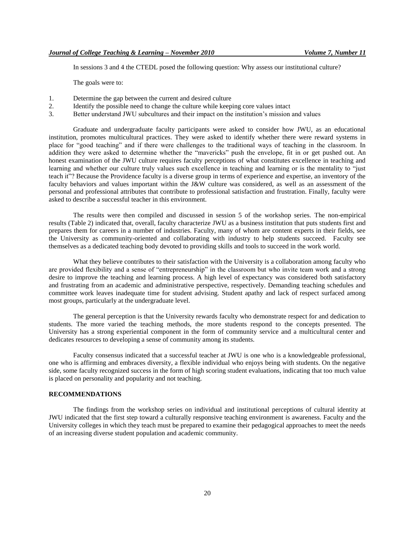In sessions 3 and 4 the CTEDL posed the following question: Why assess our institutional culture?

The goals were to:

- 1. Determine the gap between the current and desired culture
- 2. Identify the possible need to change the culture while keeping core values intact
- 3. Better understand JWU subcultures and their impact on the institution's mission and values

Graduate and undergraduate faculty participants were asked to consider how JWU, as an educational institution, promotes multicultural practices. They were asked to identify whether there were reward systems in place for "good teaching" and if there were challenges to the traditional ways of teaching in the classroom. In addition they were asked to determine whether the "mavericks" push the envelope, fit in or get pushed out. An honest examination of the JWU culture requires faculty perceptions of what constitutes excellence in teaching and learning and whether our culture truly values such excellence in teaching and learning or is the mentality to "just teach it"? Because the Providence faculty is a diverse group in terms of experience and expertise, an inventory of the faculty behaviors and values important within the J&W culture was considered, as well as an assessment of the personal and professional attributes that contribute to professional satisfaction and frustration. Finally, faculty were asked to describe a successful teacher in this environment.

The results were then compiled and discussed in session 5 of the workshop series. The non-empirical results (Table 2) indicated that, overall, faculty characterize JWU as a business institution that puts students first and prepares them for careers in a number of industries. Faculty, many of whom are content experts in their fields, see the University as community-oriented and collaborating with industry to help students succeed. Faculty see themselves as a dedicated teaching body devoted to providing skills and tools to succeed in the work world.

What they believe contributes to their satisfaction with the University is a collaboration among faculty who are provided flexibility and a sense of "entrepreneurship" in the classroom but who invite team work and a strong desire to improve the teaching and learning process. A high level of expectancy was considered both satisfactory and frustrating from an academic and administrative perspective, respectively. Demanding teaching schedules and committee work leaves inadequate time for student advising. Student apathy and lack of respect surfaced among most groups, particularly at the undergraduate level.

The general perception is that the University rewards faculty who demonstrate respect for and dedication to students. The more varied the teaching methods, the more students respond to the concepts presented. The University has a strong experiential component in the form of community service and a multicultural center and dedicates resources to developing a sense of community among its students.

Faculty consensus indicated that a successful teacher at JWU is one who is a knowledgeable professional, one who is affirming and embraces diversity, a flexible individual who enjoys being with students. On the negative side, some faculty recognized success in the form of high scoring student evaluations, indicating that too much value is placed on personality and popularity and not teaching.

#### **RECOMMENDATIONS**

The findings from the workshop series on individual and institutional perceptions of cultural identity at JWU indicated that the first step toward a culturally responsive teaching environment is awareness. Faculty and the University colleges in which they teach must be prepared to examine their pedagogical approaches to meet the needs of an increasing diverse student population and academic community.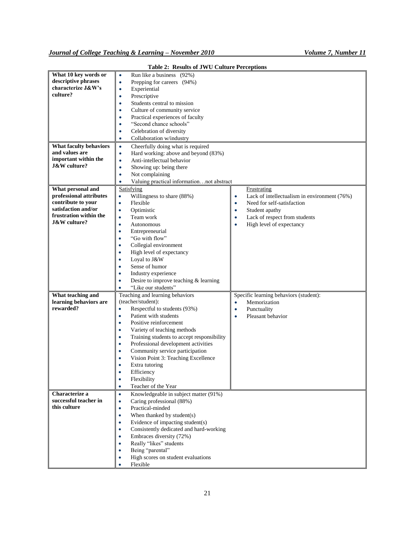| What 10 key words or<br>descriptive phrases<br>characterize J&W's<br>culture?                                                                  | Run like a business (92%)<br>$\bullet$<br>Prepping for careers (94%)<br>$\bullet$<br>Experiential<br>$\bullet$<br>Prescriptive<br>$\bullet$<br>Students central to mission<br>$\bullet$<br>Culture of community service<br>Practical experiences of faculty<br>"Second chance schools"<br>٠                                                                                                                                                                                                  |                                                                                                                                                                                                                           |
|------------------------------------------------------------------------------------------------------------------------------------------------|----------------------------------------------------------------------------------------------------------------------------------------------------------------------------------------------------------------------------------------------------------------------------------------------------------------------------------------------------------------------------------------------------------------------------------------------------------------------------------------------|---------------------------------------------------------------------------------------------------------------------------------------------------------------------------------------------------------------------------|
|                                                                                                                                                | Celebration of diversity<br>Collaboration w/industry                                                                                                                                                                                                                                                                                                                                                                                                                                         |                                                                                                                                                                                                                           |
| <b>What faculty behaviors</b><br>and values are<br>important within the<br><b>J&amp;W</b> culture?                                             | Cheerfully doing what is required<br>$\bullet$<br>Hard working: above and beyond (83%)<br>$\bullet$<br>Anti-intellectual behavior<br>$\bullet$<br>Showing up: being there<br>٠<br>Not complaining<br>$\bullet$<br>Valuing practical informationnot abstract<br>$\bullet$                                                                                                                                                                                                                     |                                                                                                                                                                                                                           |
| What personal and<br>professional attributes<br>contribute to your<br>satisfaction and/or<br>frustration within the<br><b>J&amp;W</b> culture? | Satisfying<br>Willingness to share (88%)<br>٠<br>Flexible<br>٠<br>Optimistic<br>$\bullet$<br>Team work<br>$\bullet$<br>Autonomous<br>٠<br>Entrepreneurial<br>٠<br>"Go with flow"<br>$\bullet$<br>Collegial environment<br>٠<br>High level of expectancy<br>Loyal to J&W<br>٠<br>Sense of humor<br>٠<br>Industry experience<br>٠<br>Desire to improve teaching & learning<br>۰<br>"Like our students"                                                                                         | Frustrating<br>Lack of intellectualism in environment (76%)<br>٠<br>Need for self-satisfaction<br>٠<br>Student apathy<br>$\bullet$<br>Lack of respect from students<br>$\bullet$<br>High level of expectancy<br>$\bullet$ |
| What teaching and<br>learning behaviors are<br>rewarded?                                                                                       | Teaching and learning behaviors<br>(teacher/student):<br>Respectful to students (93%)<br>$\bullet$<br>Patient with students<br>$\bullet$<br>Positive reinforcement<br>٠<br>Variety of teaching methods<br>Training students to accept responsibility<br>٠<br>Professional development activities<br>$\bullet$<br>Community service participation<br>٠<br>Vision Point 3: Teaching Excellence<br>Extra tutoring<br>Efficiency<br>Flexibility<br>$\bullet$<br>Teacher of the Year<br>$\bullet$ | Specific learning behaviors (student):<br>Memorization<br>$\bullet$<br>Punctuality<br>$\bullet$<br>Pleasant behavior<br>$\bullet$                                                                                         |
| Characterize a<br>successful teacher in<br>this culture                                                                                        | Knowledgeable in subject matter (91%)<br>$\bullet$<br>Caring professional (88%)<br>$\bullet$<br>Practical-minded<br>$\bullet$<br>When thanked by student(s)<br>٠<br>Evidence of impacting student(s)<br>٠<br>Consistently dedicated and hard-working<br>٠<br>Embraces diversity (72%)<br>٠<br>Really "likes" students<br>Being "parental"<br>High scores on student evaluations<br>٠<br>Flexible<br>$\bullet$                                                                                |                                                                                                                                                                                                                           |

**Table 2: Results of JWU Culture Perceptions**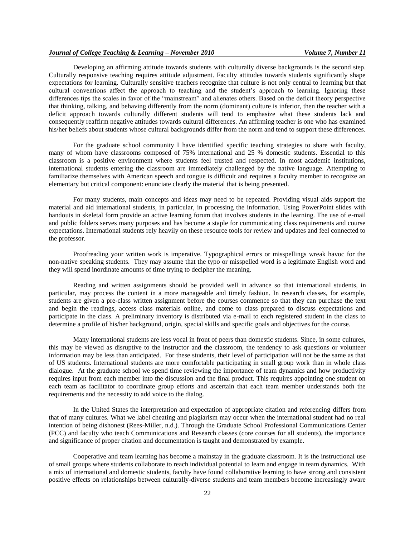Developing an affirming attitude towards students with culturally diverse backgrounds is the second step. Culturally responsive teaching requires attitude adjustment. Faculty attitudes towards students significantly shape expectations for learning. Culturally sensitive teachers recognize that culture is not only central to learning but that cultural conventions affect the approach to teaching and the student's approach to learning. Ignoring these differences tips the scales in favor of the "mainstream" and alienates others. Based on the deficit theory perspective that thinking, talking, and behaving differently from the norm (dominant) culture is inferior, then the teacher with a deficit approach towards culturally different students will tend to emphasize what these students lack and consequently reaffirm negative attitudes towards cultural differences. An affirming teacher is one who has examined his/her beliefs about students whose cultural backgrounds differ from the norm and tend to support these differences.

For the graduate school community I have identified specific teaching strategies to share with faculty, many of whom have classrooms composed of 75% international and 25 % domestic students. Essential to this classroom is a positive environment where students feel trusted and respected. In most academic institutions, international students entering the classroom are immediately challenged by the native language. Attempting to familiarize themselves with American speech and tongue is difficult and requires a faculty member to recognize an elementary but critical component: enunciate clearly the material that is being presented.

For many students, main concepts and ideas may need to be repeated. Providing visual aids support the material and aid international students, in particular, in processing the information. Using PowerPoint slides with handouts in skeletal form provide an active learning forum that involves students in the learning. The use of e-mail and public folders serves many purposes and has become a staple for communicating class requirements and course expectations. International students rely heavily on these resource tools for review and updates and feel connected to the professor.

Proofreading your written work is imperative. Typographical errors or misspellings wreak havoc for the non-native speaking students. They may assume that the typo or misspelled word is a legitimate English word and they will spend inordinate amounts of time trying to decipher the meaning.

Reading and written assignments should be provided well in advance so that international students, in particular, may process the content in a more manageable and timely fashion. In research classes, for example, students are given a pre-class written assignment before the courses commence so that they can purchase the text and begin the readings, access class materials online, and come to class prepared to discuss expectations and participate in the class. A preliminary inventory is distributed via e-mail to each registered student in the class to determine a profile of his/her background, origin, special skills and specific goals and objectives for the course.

Many international students are less vocal in front of peers than domestic students. Since, in some cultures, this may be viewed as disruptive to the instructor and the classroom, the tendency to ask questions or volunteer information may be less than anticipated. For these students, their level of participation will not be the same as that of US students. International students are more comfortable participating in small group work than in whole class dialogue. At the graduate school we spend time reviewing the importance of team dynamics and how productivity requires input from each member into the discussion and the final product. This requires appointing one student on each team as facilitator to coordinate group efforts and ascertain that each team member understands both the requirements and the necessity to add voice to the dialog.

In the United States the interpretation and expectation of appropriate citation and referencing differs from that of many cultures. What we label cheating and plagiarism may occur when the international student had no real intention of being dishonest (Rees-Miller, n.d.). Through the Graduate School Professional Communications Center (PCC) and faculty who teach Communications and Research classes (core courses for all students), the importance and significance of proper citation and documentation is taught and demonstrated by example.

Cooperative and team learning has become a mainstay in the graduate classroom. It is the instructional use of small groups where students collaborate to reach individual potential to learn and engage in team dynamics. With a mix of international and domestic students, faculty have found collaborative learning to have strong and consistent positive effects on relationships between culturally-diverse students and team members become increasingly aware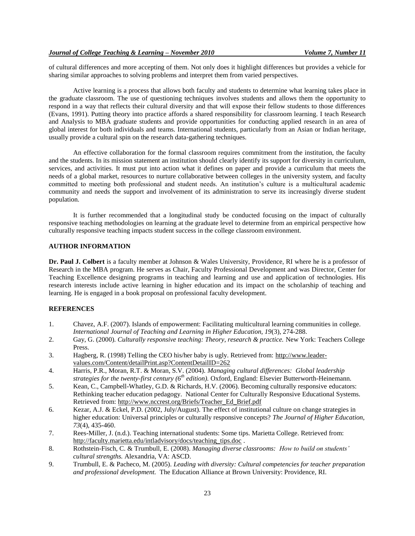of cultural differences and more accepting of them. Not only does it highlight differences but provides a vehicle for sharing similar approaches to solving problems and interpret them from varied perspectives.

Active learning is a process that allows both faculty and students to determine what learning takes place in the graduate classroom. The use of questioning techniques involves students and allows them the opportunity to respond in a way that reflects their cultural diversity and that will expose their fellow students to those differences (Evans, 1991). Putting theory into practice affords a shared responsibility for classroom learning. I teach Research and Analysis to MBA graduate students and provide opportunities for conducting applied research in an area of global interest for both individuals and teams. International students, particularly from an Asian or Indian heritage, usually provide a cultural spin on the research data-gathering techniques.

An effective collaboration for the formal classroom requires commitment from the institution, the faculty and the students. In its mission statement an institution should clearly identify its support for diversity in curriculum, services, and activities. It must put into action what it defines on paper and provide a curriculum that meets the needs of a global market, resources to nurture collaborative between colleges in the university system, and faculty committed to meeting both professional and student needs. An institution's culture is a multicultural academic community and needs the support and involvement of its administration to serve its increasingly diverse student population.

It is further recommended that a longitudinal study be conducted focusing on the impact of culturally responsive teaching methodologies on learning at the graduate level to determine from an empirical perspective how culturally responsive teaching impacts student success in the college classroom environment.

#### **AUTHOR INFORMATION**

**Dr. Paul J. Colbert** is a faculty member at Johnson & Wales University, Providence, RI where he is a professor of Research in the MBA program. He serves as Chair, Faculty Professional Development and was Director, Center for Teaching Excellence designing programs in teaching and learning and use and application of technologies. His research interests include active learning in higher education and its impact on the scholarship of teaching and learning. He is engaged in a book proposal on professional faculty development.

#### **REFERENCES**

- 1. Chavez, A.F. (2007). Islands of empowerment: Facilitating multicultural learning communities in college. *International Journal of Teaching and Learning in Higher Education, 19*(3), 274-288.
- 2. Gay, G. (2000). *Culturally responsive teaching: Theory, research & practice.* New York: Teachers College Press.
- 3. Hagberg, R. (1998) Telling the CEO his/her baby is ugly. Retrieved from: [http://www.leader](http://www.leader-values.com/Content/detailPrint.asp?ContentDetailID=262%20)[values.com/Content/detailPrint.asp?ContentDetailID=262](http://www.leader-values.com/Content/detailPrint.asp?ContentDetailID=262%20)
- 4. Harris, P.R., Moran, R.T. & Moran, S.V. (2004). *Managing cultural differences: Global leadership strategies for the twenty-first century (6th edition).* Oxford, England: Elsevier Butterworth-Heinemann.
- 5. Kean, C., Campbell-Whatley, G.D. & Richards, H.V. (2006). Becoming culturally responsive educators: Rethinking teacher education pedagogy. National Center for Culturally Responsive Educational Systems. Retrieved from: [http://www.nccrest.org/Briefs/Teacher\\_Ed\\_Brief.pdf](http://www.nccrest.org/Briefs/Teacher_Ed_Brief.pdf)
- 6. Kezar, A.J. & Eckel, P.D. (2002, July/August). The effect of institutional culture on change strategies in higher education: Universal principles or culturally responsive concepts? *The Journal of Higher Education, 73*(4), 435-460.
- 7. Rees-Miller, J. (n.d.). Teaching international students: Some tips. Marietta College. Retrieved from: [http://faculty.marietta.edu/intladvisory/docs/teaching\\_tips.doc](http://faculty.marietta.edu/intladvisory/docs/teaching_tips.doc).
- 8. Rothstein-Fisch, C. & Trumbull, E. (2008). *Managing diverse classrooms: How to build on students' cultural strengths.* Alexandria, VA: ASCD.
- 9. Trumbull, E. & Pacheco, M. (2005). *Leading with diversity: Cultural competencies for teacher preparation and professional development.* The Education Alliance at Brown University: Providence, RI.